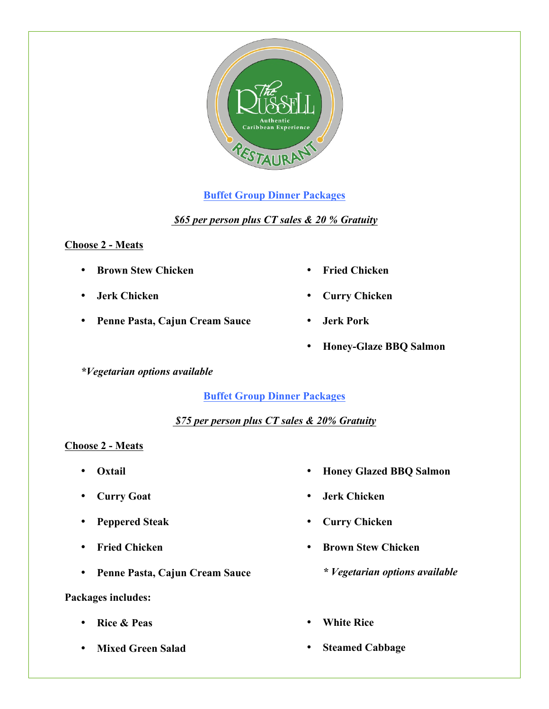

# **Buffet Group Dinner Packages**

*\$65 per person plus CT sales & 20 % Gratuity*

### **Choose 2 - Meats**

- **Brown Stew Chicken**
- **Jerk Chicken**
- **Penne Pasta, Cajun Cream Sauce**

*\*Vegetarian options available*

## **Buffet Group Dinner Packages**

## *\$75 per person plus CT sales & 20% Gratuity*

## **Choose 2 - Meats**

- **Oxtail**
- **Curry Goat**
- **Peppered Steak**
- **Fried Chicken**
- **Penne Pasta, Cajun Cream Sauce**

## **Packages includes:**

- **Rice & Peas**
- **Mixed Green Salad**
- **Honey Glazed BBQ Salmon**
- **Jerk Chicken**
- **Curry Chicken**
- **Brown Stew Chicken**
	- *\* Vegetarian options available*
- **White Rice**
- **Steamed Cabbage**
- **Fried Chicken**
- **Curry Chicken**
- **Jerk Pork**
- **Honey-Glaze BBQ Salmon**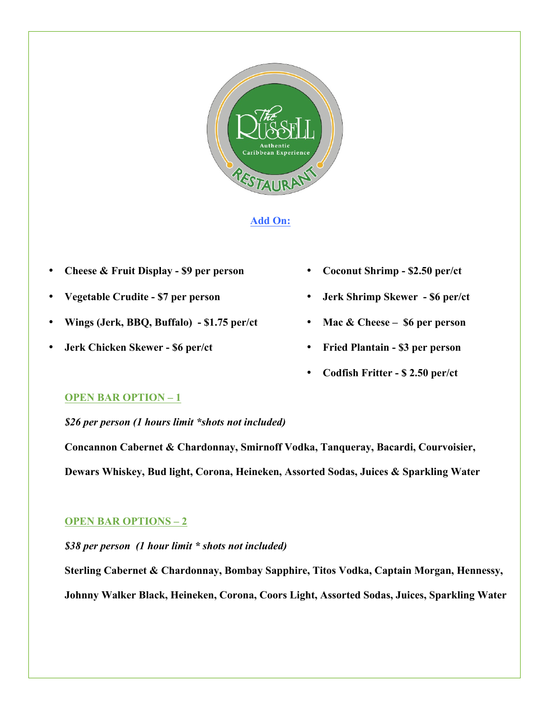

#### **Add On:**

- **Cheese & Fruit Display - \$9 per person**
- **Vegetable Crudite - \$7 per person**
- **Wings (Jerk, BBQ, Buffalo) - \$1.75 per/ct**
- **Jerk Chicken Skewer - \$6 per/ct**
- **Coconut Shrimp - \$2.50 per/ct**
- **Jerk Shrimp Skewer - \$6 per/ct**
- **Mac & Cheese \$6 per person**
- **Fried Plantain - \$3 per person**
- **Codfish Fritter - \$ 2.50 per/ct**

#### **OPEN BAR OPTION – 1**

*\$26 per person (1 hours limit \*shots not included)*

**Concannon Cabernet & Chardonnay, Smirnoff Vodka, Tanqueray, Bacardi, Courvoisier, Dewars Whiskey, Bud light, Corona, Heineken, Assorted Sodas, Juices & Sparkling Water** 

### **OPEN BAR OPTIONS – 2**

*\$38 per person (1 hour limit \* shots not included)*

**Sterling Cabernet & Chardonnay, Bombay Sapphire, Titos Vodka, Captain Morgan, Hennessy, Johnny Walker Black, Heineken, Corona, Coors Light, Assorted Sodas, Juices, Sparkling Water**